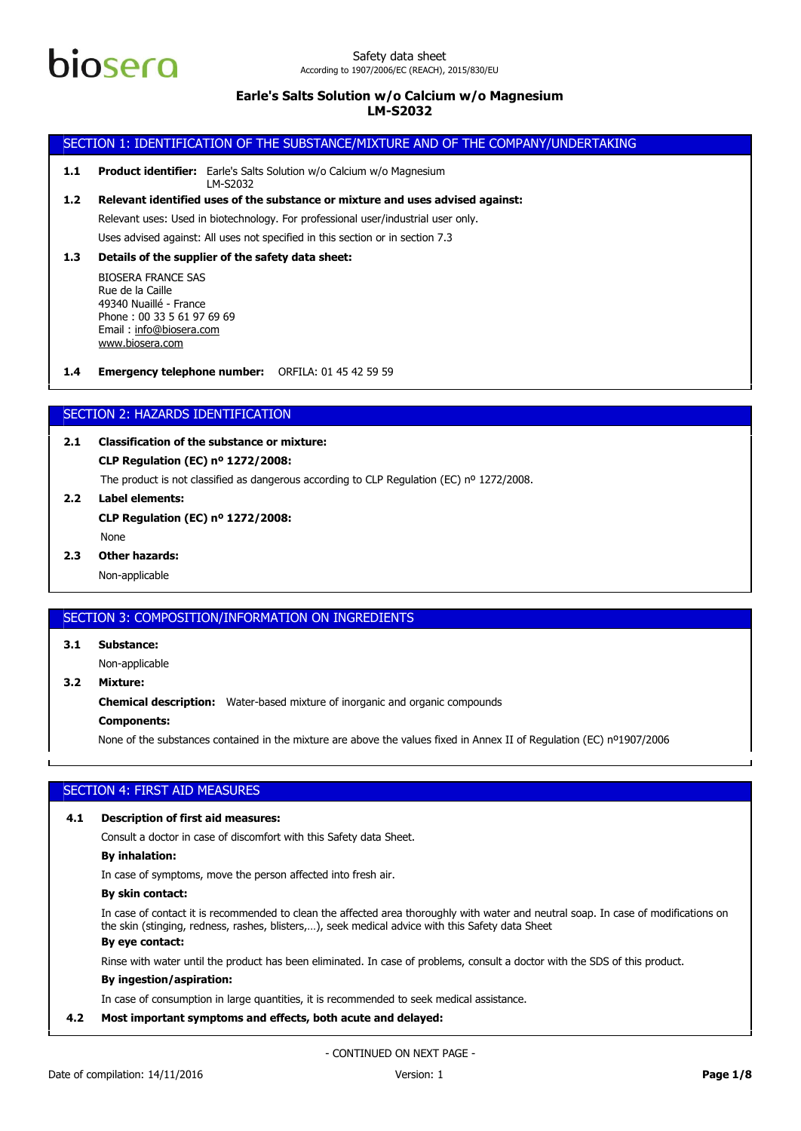

## Safety data sheet According to 1907/2006/EC (REACH), 2015/830/EU

## **Earle's Salts Solution w/o Calcium w/o Magnesium LM-S2032**

## SECTION 1: IDENTIFICATION OF THE SUBSTANCE/MIXTURE AND OF THE COMPANY/UNDERTAKING

**1.1 Product identifier:** Earle's Salts Solution w/o Calcium w/o Magnesium LM-S2032

Uses advised against: All uses not specified in this section or in section 7.3 Relevant uses: Used in biotechnology. For professional user/industrial user only. **1.2 Relevant identified uses of the substance or mixture and uses advised against:**

## **1.3 Details of the supplier of the safety data sheet:**

BIOSERA FRANCE SAS Rue de la Caille 49340 Nuaillé - France Phone : 00 33 5 61 97 69 69 Email : [info@biosera.com](mailto:info@biosera.com) [www.biosera.com](http://www.biosera.com/)

**1.4 Emergency telephone number:** ORFILA: 01 45 42 59 59

## SECTION 2: HAZARDS IDENTIFICATION

## **2.1 Classification of the substance or mixture:**

## **CLP Regulation (EC) nº 1272/2008:**

The product is not classified as dangerous according to CLP Regulation (EC) nº 1272/2008.

**2.2 Label elements:** None **CLP Regulation (EC) nº 1272/2008:**

## **2.3 Other hazards:**

Non-applicable

## SECTION 3: COMPOSITION/INFORMATION ON INGREDIENTS

**3.1 Substance:**

Non-applicable

**3.2 Mixture:**

**Chemical description:** Water-based mixture of inorganic and organic compounds

## **Components:**

None of the substances contained in the mixture are above the values fixed in Annex II of Regulation (EC) nº1907/2006

## SECTION 4: FIRST AID MEASURES

## **4.1 Description of first aid measures:**

Consult a doctor in case of discomfort with this Safety data Sheet.

#### **By inhalation:**

In case of symptoms, move the person affected into fresh air.

## **By skin contact:**

In case of contact it is recommended to clean the affected area thoroughly with water and neutral soap. In case of modifications on the skin (stinging, redness, rashes, blisters,…), seek medical advice with this Safety data Sheet

## **By eye contact:**

Rinse with water until the product has been eliminated. In case of problems, consult a doctor with the SDS of this product.

## **By ingestion/aspiration:**

In case of consumption in large quantities, it is recommended to seek medical assistance.

## **4.2 Most important symptoms and effects, both acute and delayed:**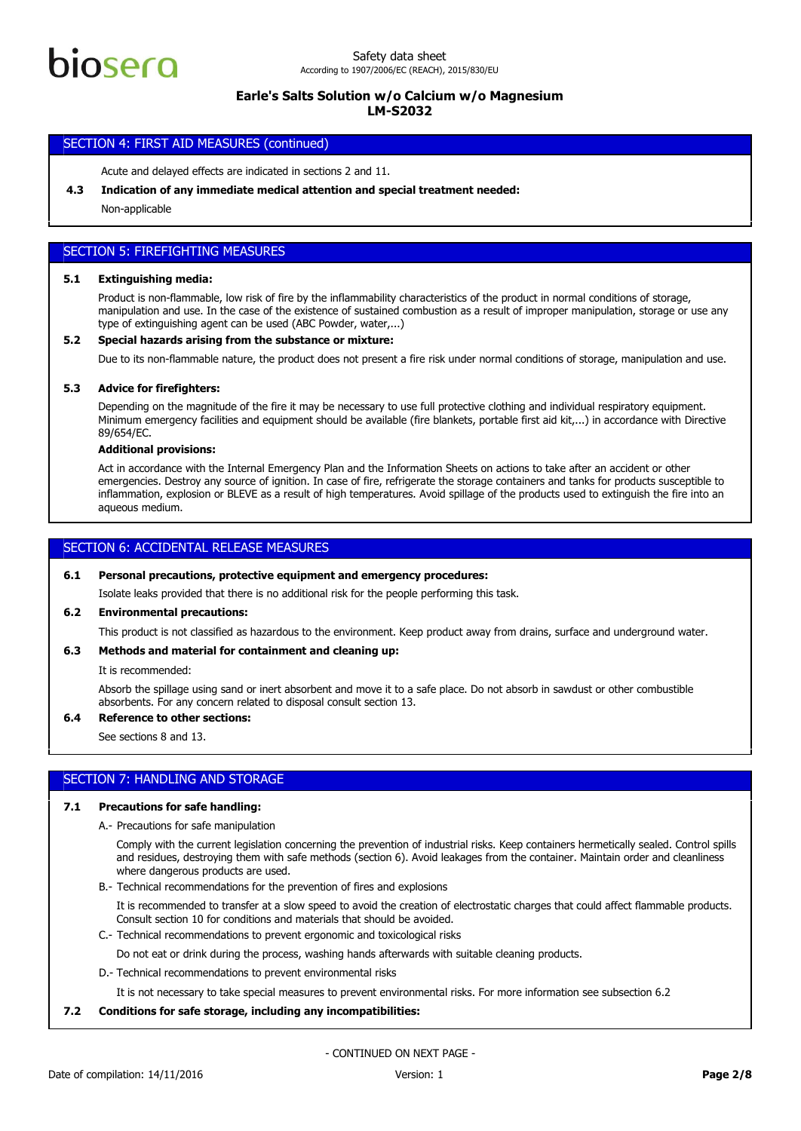

## SECTION 4: FIRST AID MEASURES (continued)

Acute and delayed effects are indicated in sections 2 and 11.

## **4.3 Indication of any immediate medical attention and special treatment needed:**

Non-applicable

## SECTION 5: FIREFIGHTING MEASURES

## **5.1 Extinguishing media:**

Product is non-flammable, low risk of fire by the inflammability characteristics of the product in normal conditions of storage, manipulation and use. In the case of the existence of sustained combustion as a result of improper manipulation, storage or use any type of extinguishing agent can be used (ABC Powder, water,...)

#### **5.2 Special hazards arising from the substance or mixture:**

Due to its non-flammable nature, the product does not present a fire risk under normal conditions of storage, manipulation and use.

#### **5.3 Advice for firefighters:**

Depending on the magnitude of the fire it may be necessary to use full protective clothing and individual respiratory equipment. Minimum emergency facilities and equipment should be available (fire blankets, portable first aid kit,...) in accordance with Directive 89/654/EC.

## **Additional provisions:**

Act in accordance with the Internal Emergency Plan and the Information Sheets on actions to take after an accident or other emergencies. Destroy any source of ignition. In case of fire, refrigerate the storage containers and tanks for products susceptible to inflammation, explosion or BLEVE as a result of high temperatures. Avoid spillage of the products used to extinguish the fire into an aqueous medium.

## SECTION 6: ACCIDENTAL RELEASE MEASURES

#### **6.1 Personal precautions, protective equipment and emergency procedures:**

Isolate leaks provided that there is no additional risk for the people performing this task.

## **6.2 Environmental precautions:**

This product is not classified as hazardous to the environment. Keep product away from drains, surface and underground water.

#### **6.3 Methods and material for containment and cleaning up:**

It is recommended:

Absorb the spillage using sand or inert absorbent and move it to a safe place. Do not absorb in sawdust or other combustible absorbents. For any concern related to disposal consult section 13.

## **6.4 Reference to other sections:**

See sections 8 and 13.

### SECTION 7: HANDLING AND STORAGE

#### **7.1 Precautions for safe handling:**

A.- Precautions for safe manipulation

Comply with the current legislation concerning the prevention of industrial risks. Keep containers hermetically sealed. Control spills and residues, destroying them with safe methods (section 6). Avoid leakages from the container. Maintain order and cleanliness where dangerous products are used.

B.- Technical recommendations for the prevention of fires and explosions

It is recommended to transfer at a slow speed to avoid the creation of electrostatic charges that could affect flammable products. Consult section 10 for conditions and materials that should be avoided.

C.- Technical recommendations to prevent ergonomic and toxicological risks

Do not eat or drink during the process, washing hands afterwards with suitable cleaning products.

D.- Technical recommendations to prevent environmental risks

It is not necessary to take special measures to prevent environmental risks. For more information see subsection 6.2

## **7.2 Conditions for safe storage, including any incompatibilities:**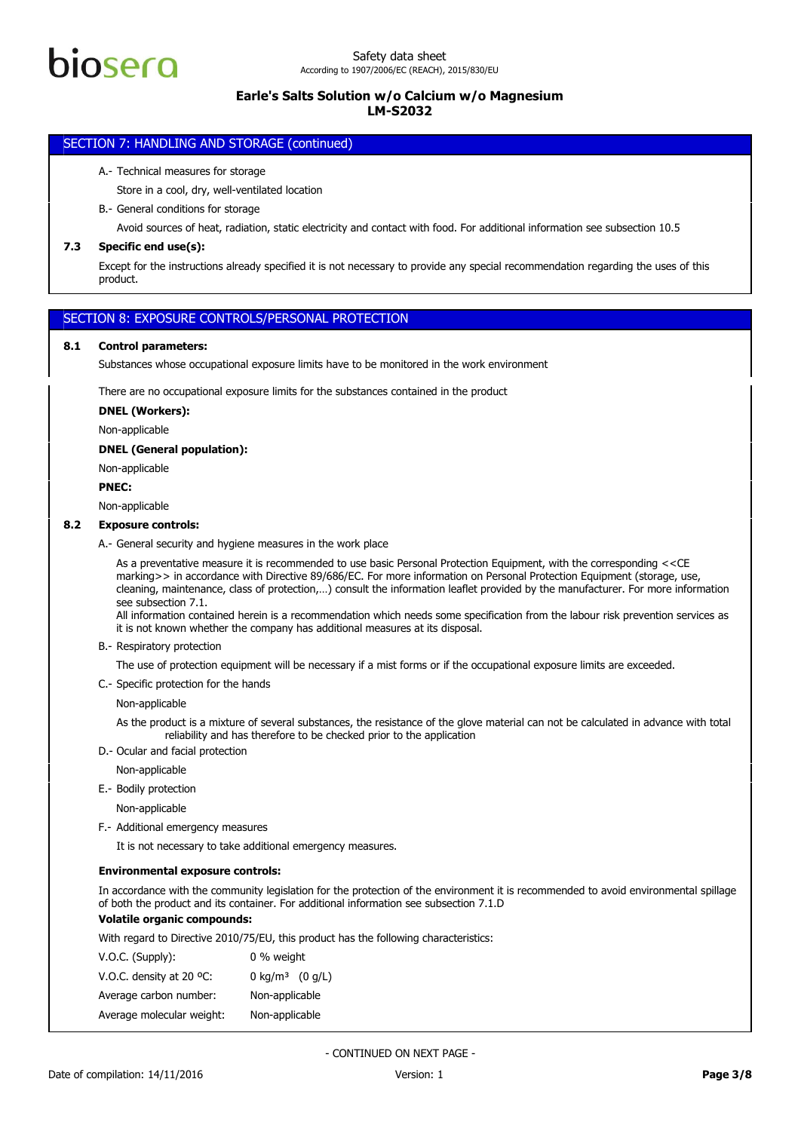# iosero

## **Earle's Salts Solution w/o Calcium w/o Magnesium LM-S2032**

## SECTION 7: HANDLING AND STORAGE (continued)

## A.- Technical measures for storage

Store in a cool, dry, well-ventilated location

## B.- General conditions for storage

Avoid sources of heat, radiation, static electricity and contact with food. For additional information see subsection 10.5

## **7.3 Specific end use(s):**

Except for the instructions already specified it is not necessary to provide any special recommendation regarding the uses of this product.

## SECTION 8: EXPOSURE CONTROLS/PERSONAL PROTECTION

## **8.1 Control parameters:**

Substances whose occupational exposure limits have to be monitored in the work environment

There are no occupational exposure limits for the substances contained in the product

#### **DNEL (Workers):**

Non-applicable

#### **DNEL (General population):**

Non-applicable

#### **PNEC:**

Non-applicable

## **8.2 Exposure controls:**

A.- General security and hygiene measures in the work place

As a preventative measure it is recommended to use basic Personal Protection Equipment, with the corresponding <<CE marking>> in accordance with Directive 89/686/EC. For more information on Personal Protection Equipment (storage, use, cleaning, maintenance, class of protection,…) consult the information leaflet provided by the manufacturer. For more information see subsection 7.1.

All information contained herein is a recommendation which needs some specification from the labour risk prevention services as it is not known whether the company has additional measures at its disposal.

B.- Respiratory protection

The use of protection equipment will be necessary if a mist forms or if the occupational exposure limits are exceeded.

C.- Specific protection for the hands

## Non-applicable

As the product is a mixture of several substances, the resistance of the glove material can not be calculated in advance with total reliability and has therefore to be checked prior to the application

- D.- Ocular and facial protection
	- Non-applicable
- E.- Bodily protection

Non-applicable

F.- Additional emergency measures

It is not necessary to take additional emergency measures.

#### **Environmental exposure controls:**

In accordance with the community legislation for the protection of the environment it is recommended to avoid environmental spillage of both the product and its container. For additional information see subsection 7.1.D

## **Volatile organic compounds:**

With regard to Directive 2010/75/EU, this product has the following characteristics:

| $V.O.C.$ (Supply):                 | 0 % weight                           |
|------------------------------------|--------------------------------------|
| V.O.C. density at 20 $^{\circ}$ C: | $0 \text{ kg/m}^3$ $(0 \text{ g/L})$ |
| Average carbon number:             | Non-applicable                       |
| Average molecular weight:          | Non-applicable                       |
|                                    |                                      |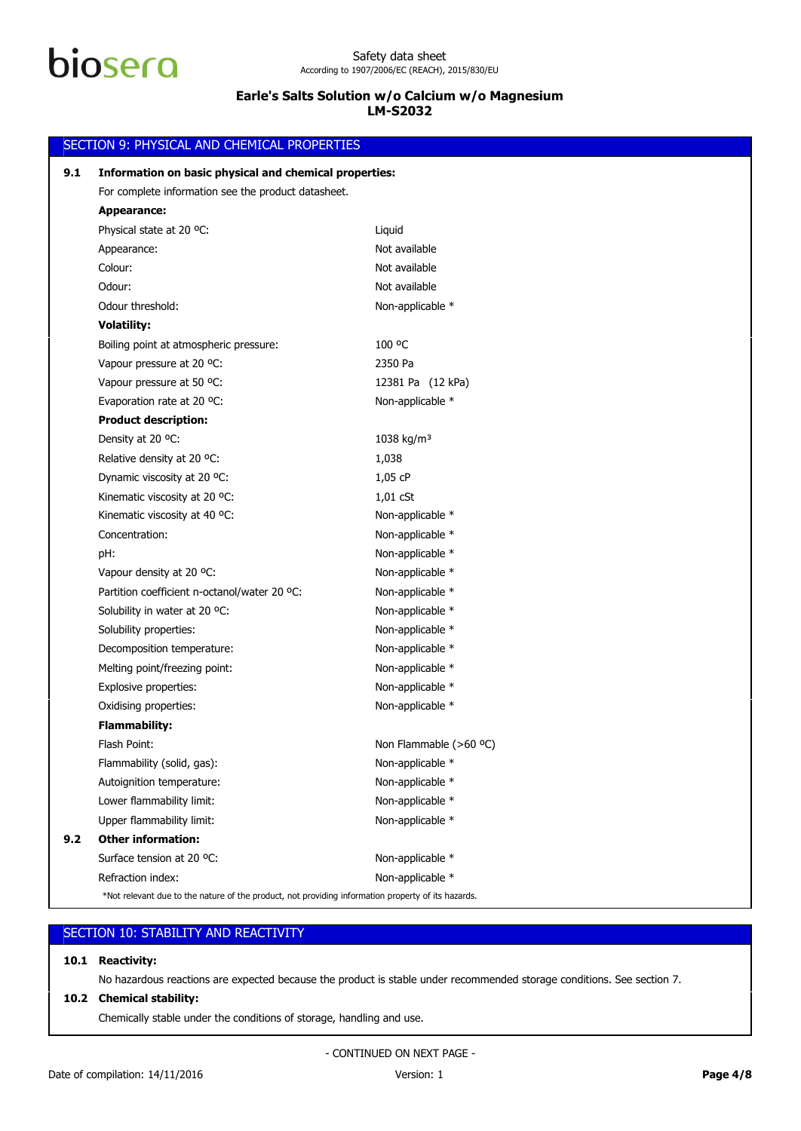|     | SECTION 9: PHYSICAL AND CHEMICAL PROPERTIES                                                                                     |                        |  |
|-----|---------------------------------------------------------------------------------------------------------------------------------|------------------------|--|
| 9.1 | Information on basic physical and chemical properties:                                                                          |                        |  |
|     | For complete information see the product datasheet.                                                                             |                        |  |
|     | <b>Appearance:</b>                                                                                                              |                        |  |
|     | Physical state at 20 °C:                                                                                                        | Liquid                 |  |
|     | Appearance:                                                                                                                     | Not available          |  |
|     | Colour:                                                                                                                         | Not available          |  |
|     | Odour:                                                                                                                          | Not available          |  |
|     | Odour threshold:                                                                                                                | Non-applicable *       |  |
|     | <b>Volatility:</b>                                                                                                              |                        |  |
|     | Boiling point at atmospheric pressure:                                                                                          | 100 °C                 |  |
|     | Vapour pressure at 20 °C:                                                                                                       | 2350 Pa                |  |
|     | Vapour pressure at 50 °C:                                                                                                       | 12381 Pa (12 kPa)      |  |
|     | Evaporation rate at 20 °C:                                                                                                      | Non-applicable *       |  |
|     | <b>Product description:</b>                                                                                                     |                        |  |
|     | Density at 20 °C:                                                                                                               | 1038 kg/m <sup>3</sup> |  |
|     | Relative density at 20 °C:                                                                                                      | 1,038                  |  |
|     | Dynamic viscosity at 20 °C:                                                                                                     | 1,05 cP                |  |
|     | Kinematic viscosity at 20 °C:                                                                                                   | $1,01$ cSt             |  |
|     | Kinematic viscosity at 40 °C:                                                                                                   | Non-applicable *       |  |
|     | Concentration:                                                                                                                  | Non-applicable *       |  |
|     | pH:                                                                                                                             | Non-applicable *       |  |
|     | Vapour density at 20 °C:                                                                                                        | Non-applicable *       |  |
|     | Partition coefficient n-octanol/water 20 °C:                                                                                    | Non-applicable *       |  |
|     | Solubility in water at 20 °C:                                                                                                   | Non-applicable *       |  |
|     | Solubility properties:                                                                                                          | Non-applicable *       |  |
|     | Decomposition temperature:                                                                                                      | Non-applicable *       |  |
|     | Melting point/freezing point:                                                                                                   | Non-applicable *       |  |
|     | Explosive properties:                                                                                                           | Non-applicable *       |  |
|     | Oxidising properties:                                                                                                           | Non-applicable *       |  |
|     | <b>Flammability:</b>                                                                                                            |                        |  |
|     | Flash Point:                                                                                                                    | Non Flammable (>60 °C) |  |
|     | Flammability (solid, gas):                                                                                                      | Non-applicable *       |  |
|     |                                                                                                                                 | Non-applicable *       |  |
|     | Lower flammability limit:                                                                                                       | Non-applicable *       |  |
|     | Upper flammability limit:                                                                                                       | Non-applicable *       |  |
| 9.2 | <b>Other information:</b>                                                                                                       |                        |  |
|     | Surface tension at 20 °C:                                                                                                       | Non-applicable *       |  |
|     | Refraction index:                                                                                                               | Non-applicable *       |  |
|     | Autoignition temperature:<br>*Not relevant due to the nature of the product, not providing information property of its hazards. |                        |  |

| SECTION 10: STABILITY AND REACTIVITY |  |
|--------------------------------------|--|
|                                      |  |

## **10.1 Reactivity:**

No hazardous reactions are expected because the product is stable under recommended storage conditions. See section 7.

## **10.2 Chemical stability:**

Chemically stable under the conditions of storage, handling and use.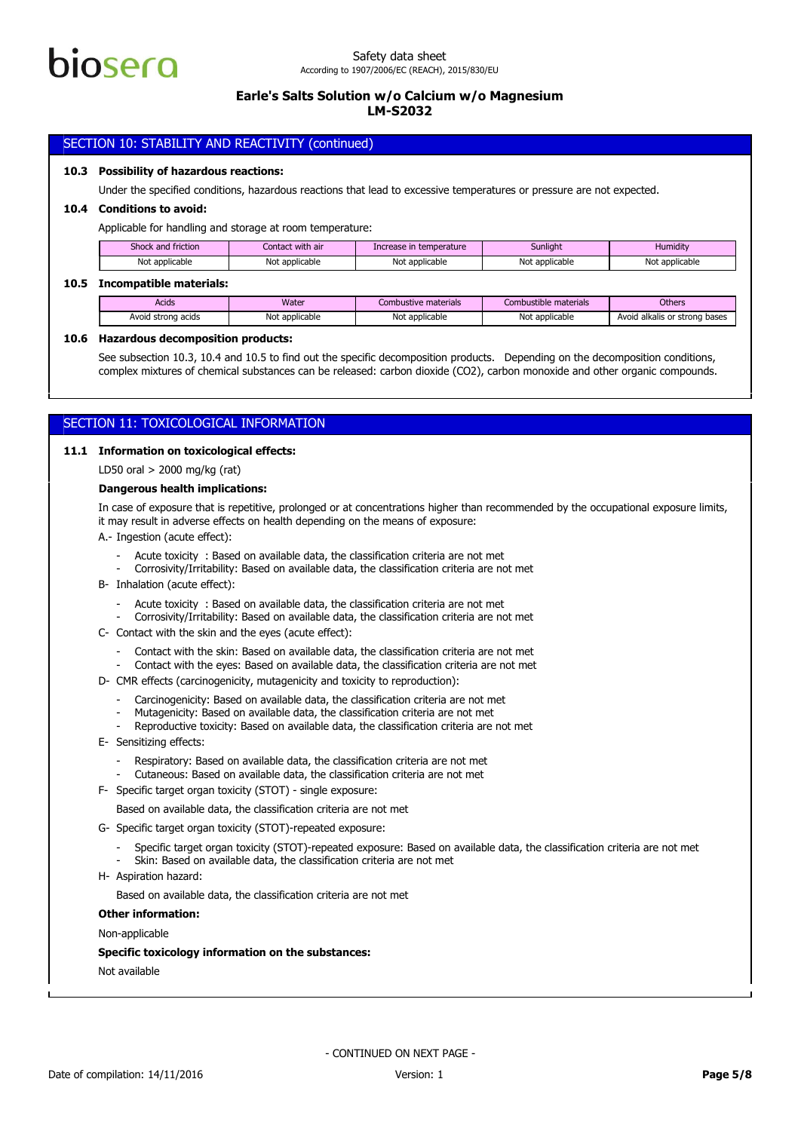

## SECTION 10: STABILITY AND REACTIVITY (continued)

### **10.3 Possibility of hazardous reactions:**

Under the specified conditions, hazardous reactions that lead to excessive temperatures or pressure are not expected.

#### **10.4 Conditions to avoid:**

Applicable for handling and storage at room temperature:

| Shock and friction | Contact with air | Increase in temperature | Sunlight       | Humidity       |
|--------------------|------------------|-------------------------|----------------|----------------|
| Not applicable     | Not applicable   | Not applicable          | Not applicable | Not applicable |

#### **10.5 Incompatible materials:**

| Acids              | Water          | Combustive materials | Combustible materials | <b>Others</b>                 |
|--------------------|----------------|----------------------|-----------------------|-------------------------------|
| Avoid strong acids | Not applicable | Not applicable       | Not applicable        | Avoid alkalis or strong bases |

#### **10.6 Hazardous decomposition products:**

See subsection 10.3, 10.4 and 10.5 to find out the specific decomposition products. Depending on the decomposition conditions, complex mixtures of chemical substances can be released: carbon dioxide (CO2), carbon monoxide and other organic compounds.

## SECTION 11: TOXICOLOGICAL INFORMATION

## **11.1 Information on toxicological effects:**

LD50 oral > 2000 mg/kg (rat)

#### **Dangerous health implications:**

In case of exposure that is repetitive, prolonged or at concentrations higher than recommended by the occupational exposure limits, it may result in adverse effects on health depending on the means of exposure:

A.- Ingestion (acute effect):

- Acute toxicity : Based on available data, the classification criteria are not met
- Corrosivity/Irritability: Based on available data, the classification criteria are not met
- B- Inhalation (acute effect):
	- Acute toxicity : Based on available data, the classification criteria are not met
	- Corrosivity/Irritability: Based on available data, the classification criteria are not met
- C- Contact with the skin and the eyes (acute effect):
	- Contact with the skin: Based on available data, the classification criteria are not met
	- Contact with the eyes: Based on available data, the classification criteria are not met
- D- CMR effects (carcinogenicity, mutagenicity and toxicity to reproduction):
	- Carcinogenicity: Based on available data, the classification criteria are not met
	- Mutagenicity: Based on available data, the classification criteria are not met
	- Reproductive toxicity: Based on available data, the classification criteria are not met
- E- Sensitizing effects:
	- Respiratory: Based on available data, the classification criteria are not met
	- Cutaneous: Based on available data, the classification criteria are not met
- F- Specific target organ toxicity (STOT) single exposure:

Based on available data, the classification criteria are not met

- G- Specific target organ toxicity (STOT)-repeated exposure:
	- Specific target organ toxicity (STOT)-repeated exposure: Based on available data, the classification criteria are not met
	- Skin: Based on available data, the classification criteria are not met
- H- Aspiration hazard:

Based on available data, the classification criteria are not met

#### **Other information:**

Non-applicable

#### **Specific toxicology information on the substances:**

Not available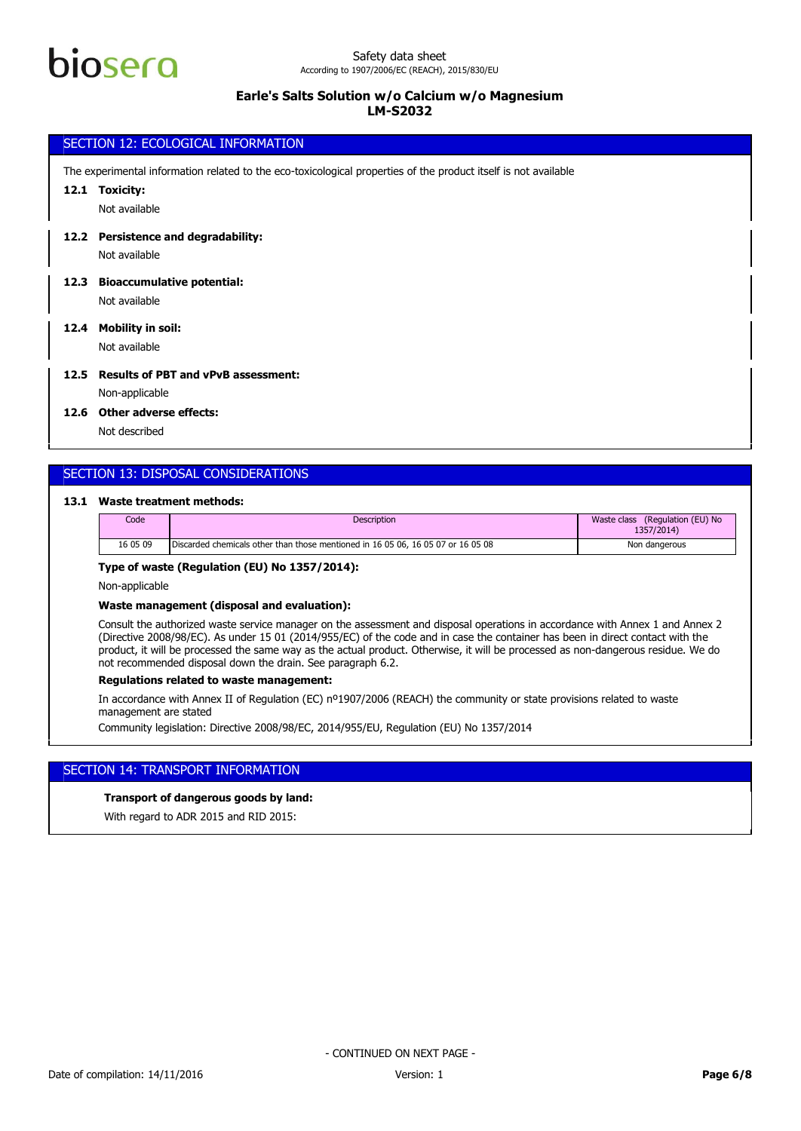

## SECTION 12: ECOLOGICAL INFORMATION Not available **12.1 Toxicity:** The experimental information related to the eco-toxicological properties of the product itself is not available Not available **12.2 Persistence and degradability:** Not available **12.3 Bioaccumulative potential:**

**12.4 Mobility in soil:**

Not available

## **12.5 Results of PBT and vPvB assessment:**

Non-applicable

## **12.6 Other adverse effects:**

Not described

## SECTION 13: DISPOSAL CONSIDERATIONS

## **13.1 Waste treatment methods:**

| Code     | <b>Description</b>                                                               | (Regulation (EU) No<br>Waste class<br>1357/2014) |
|----------|----------------------------------------------------------------------------------|--------------------------------------------------|
| 16 05 09 | Discarded chemicals other than those mentioned in 16 05 06, 16 05 07 or 16 05 08 | Non dangerous                                    |

## **Type of waste (Regulation (EU) No 1357/2014):**

Non-applicable

#### **Waste management (disposal and evaluation):**

Consult the authorized waste service manager on the assessment and disposal operations in accordance with Annex 1 and Annex 2 (Directive 2008/98/EC). As under 15 01 (2014/955/EC) of the code and in case the container has been in direct contact with the product, it will be processed the same way as the actual product. Otherwise, it will be processed as non-dangerous residue. We do not recommended disposal down the drain. See paragraph 6.2.

## **Regulations related to waste management:**

In accordance with Annex II of Regulation (EC) nº1907/2006 (REACH) the community or state provisions related to waste management are stated

Community legislation: Directive 2008/98/EC, 2014/955/EU, Regulation (EU) No 1357/2014

## SECTION 14: TRANSPORT INFORMATION

## **Transport of dangerous goods by land:**

With regard to ADR 2015 and RID 2015: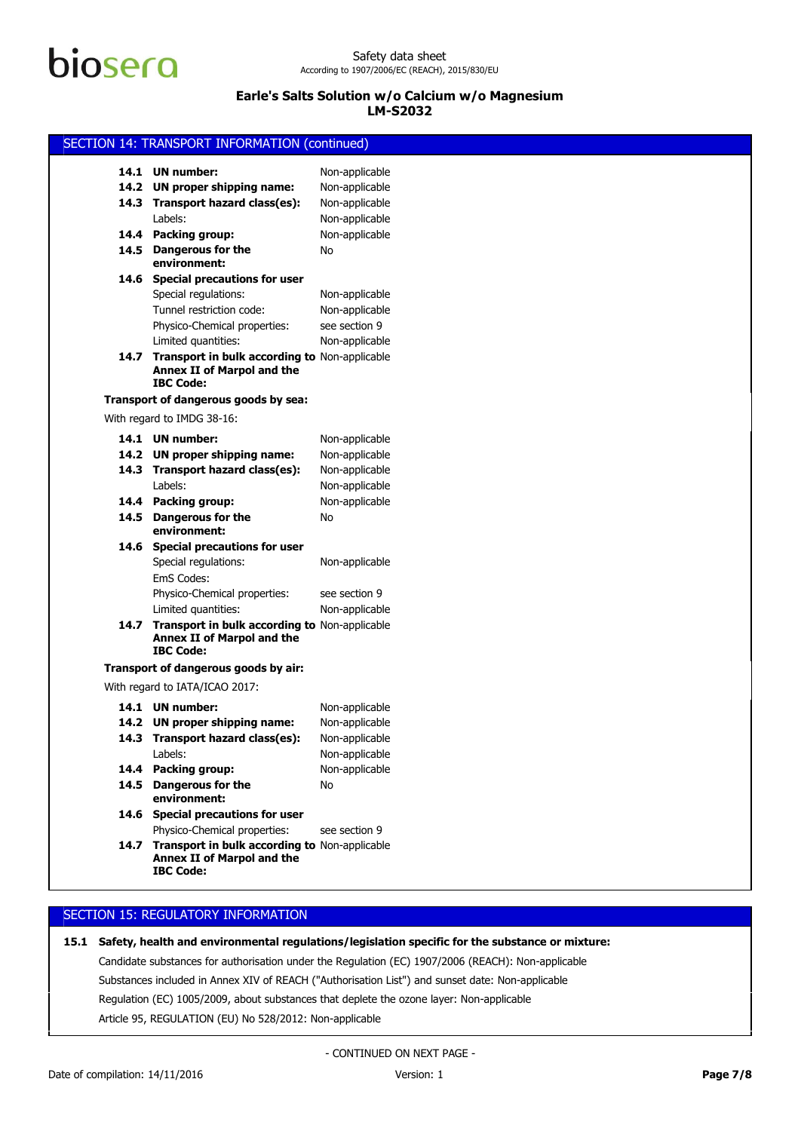# biosero

## **Earle's Salts Solution w/o Calcium w/o Magnesium LM-S2032**

| SECTION 14: TRANSPORT INFORMATION (continued)                                                        |                                  |  |  |
|------------------------------------------------------------------------------------------------------|----------------------------------|--|--|
| 14.1 UN number:                                                                                      |                                  |  |  |
|                                                                                                      | Non-applicable                   |  |  |
| 14.2 UN proper shipping name:                                                                        | Non-applicable                   |  |  |
| 14.3 Transport hazard class(es):<br>Labels:                                                          | Non-applicable<br>Non-applicable |  |  |
| 14.4 Packing group:                                                                                  | Non-applicable                   |  |  |
| 14.5 Dangerous for the                                                                               | No                               |  |  |
| environment:                                                                                         |                                  |  |  |
| 14.6 Special precautions for user                                                                    |                                  |  |  |
| Special regulations:                                                                                 | Non-applicable                   |  |  |
| Tunnel restriction code:                                                                             | Non-applicable                   |  |  |
| Physico-Chemical properties:                                                                         | see section 9                    |  |  |
| Limited quantities:                                                                                  | Non-applicable                   |  |  |
| 14.7 Transport in bulk according to Non-applicable<br>Annex II of Marpol and the<br><b>IBC Code:</b> |                                  |  |  |
| Transport of dangerous goods by sea:                                                                 |                                  |  |  |
| With regard to IMDG 38-16:                                                                           |                                  |  |  |
| 14.1 UN number:                                                                                      | Non-applicable                   |  |  |
| 14.2 UN proper shipping name:                                                                        | Non-applicable                   |  |  |
| 14.3 Transport hazard class(es):                                                                     | Non-applicable                   |  |  |
| Labels:                                                                                              | Non-applicable                   |  |  |
| 14.4 Packing group:                                                                                  | Non-applicable                   |  |  |
| 14.5 Dangerous for the<br>environment:                                                               | No                               |  |  |
| 14.6 Special precautions for user                                                                    |                                  |  |  |
| Special regulations:<br>EmS Codes:                                                                   | Non-applicable                   |  |  |
| Physico-Chemical properties:                                                                         | see section 9                    |  |  |
| Limited quantities:                                                                                  | Non-applicable                   |  |  |
| 14.7 Transport in bulk according to Non-applicable<br>Annex II of Marpol and the<br><b>IBC Code:</b> |                                  |  |  |
| Transport of dangerous goods by air:                                                                 |                                  |  |  |
| With regard to IATA/ICAO 2017:                                                                       |                                  |  |  |
| 14.1 UN number:                                                                                      | Non-applicable                   |  |  |
| 14.2 UN proper shipping name:                                                                        | Non-applicable                   |  |  |
| 14.3 Transport hazard class(es):                                                                     | Non-applicable                   |  |  |
| Labels:                                                                                              | Non-applicable                   |  |  |
| 14.4 Packing group:                                                                                  | Non-applicable                   |  |  |
| 14.5 Dangerous for the<br>environment:                                                               | No                               |  |  |
| 14.6 Special precautions for user                                                                    |                                  |  |  |
| Physico-Chemical properties:                                                                         | see section 9                    |  |  |
| 14.7 Transport in bulk according to Non-applicable<br>Annex II of Marpol and the<br><b>IBC Code:</b> |                                  |  |  |
|                                                                                                      |                                  |  |  |

## SECTION 15: REGULATORY INFORMATION

## **15.1 Safety, health and environmental regulations/legislation specific for the substance or mixture:**

Article 95, REGULATION (EU) No 528/2012: Non-applicable Regulation (EC) 1005/2009, about substances that deplete the ozone layer: Non-applicable Substances included in Annex XIV of REACH ("Authorisation List") and sunset date: Non-applicable Candidate substances for authorisation under the Regulation (EC) 1907/2006 (REACH): Non-applicable